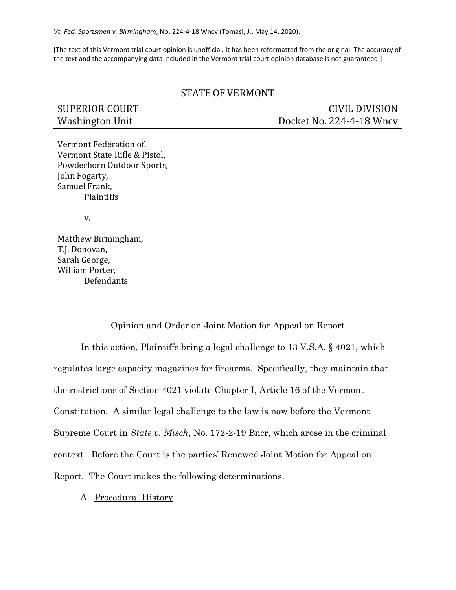*Vt. Fed. Sportsmen v. Birmingham*, No. 224-4-18 Wncv (Tomasi, J., May 14, 2020).

[The text of this Vermont trial court opinion is unofficial. It has been reformatted from the original. The accuracy of the text and the accompanying data included in the Vermont trial court opinion database is not guaranteed.]

| <b>SUPERIOR COURT</b><br><b>Washington Unit</b>                                                                                       | <b>CIVIL DIVISION</b><br>Docket No. 224-4-18 Wncv |
|---------------------------------------------------------------------------------------------------------------------------------------|---------------------------------------------------|
| Vermont Federation of,<br>Vermont State Rifle & Pistol,<br>Powderhorn Outdoor Sports,<br>John Fogarty,<br>Samuel Frank,<br>Plaintiffs |                                                   |
| V.                                                                                                                                    |                                                   |
| Matthew Birmingham,<br>T.J. Donovan,<br>Sarah George,<br>William Porter,<br>Defendants                                                |                                                   |

## STATE OF VERMONT

## Opinion and Order on Joint Motion for Appeal on Report

In this action, Plaintiffs bring a legal challenge to 13 V.S.A. § 4021, which regulates large capacity magazines for firearms. Specifically, they maintain that the restrictions of Section 4021 violate Chapter I, Article 16 of the Vermont Constitution. A similar legal challenge to the law is now before the Vermont Supreme Court in *State v. Misch*, No. 172-2-19 Bncr, which arose in the criminal context. Before the Court is the parties' Renewed Joint Motion for Appeal on Report. The Court makes the following determinations.

## A. Procedural History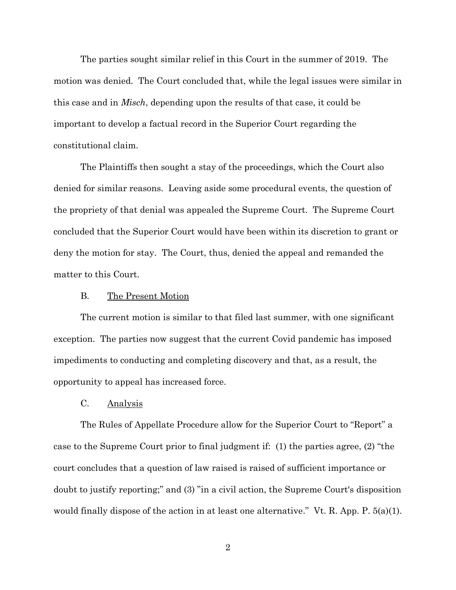The parties sought similar relief in this Court in the summer of 2019. The motion was denied. The Court concluded that, while the legal issues were similar in this case and in *Misch*, depending upon the results of that case, it could be important to develop a factual record in the Superior Court regarding the constitutional claim.

The Plaintiffs then sought a stay of the proceedings, which the Court also denied for similar reasons. Leaving aside some procedural events, the question of the propriety of that denial was appealed the Supreme Court. The Supreme Court concluded that the Superior Court would have been within its discretion to grant or deny the motion for stay. The Court, thus, denied the appeal and remanded the matter to this Court.

#### B. The Present Motion

The current motion is similar to that filed last summer, with one significant exception. The parties now suggest that the current Covid pandemic has imposed impediments to conducting and completing discovery and that, as a result, the opportunity to appeal has increased force.

### C. Analysis

The Rules of Appellate Procedure allow for the Superior Court to "Report" a case to the Supreme Court prior to final judgment if: (1) the parties agree, (2) "the court concludes that a question of law raised is raised of sufficient importance or doubt to justify reporting;" and (3) "in a civil action, the Supreme Court's disposition would finally dispose of the action in at least one alternative." Vt. R. App. P.  $5(a)(1)$ .

2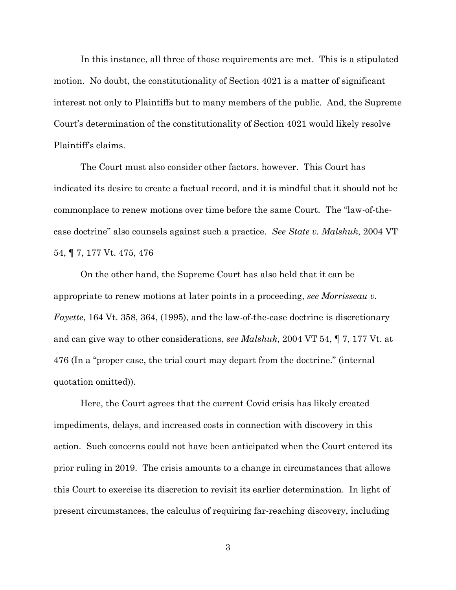In this instance, all three of those requirements are met. This is a stipulated motion. No doubt, the constitutionality of Section 4021 is a matter of significant interest not only to Plaintiffs but to many members of the public. And, the Supreme Court's determination of the constitutionality of Section 4021 would likely resolve Plaintiff's claims.

The Court must also consider other factors, however. This Court has indicated its desire to create a factual record, and it is mindful that it should not be commonplace to renew motions over time before the same Court. The "law-of-thecase doctrine" also counsels against such a practice. *See State v. Malshuk*, 2004 VT 54, ¶ 7, 177 Vt. 475, 476

On the other hand, the Supreme Court has also held that it can be appropriate to renew motions at later points in a proceeding, *see Morrisseau v. Fayette*, 164 Vt. 358, 364, (1995), and the law-of-the-case doctrine is discretionary and can give way to other considerations, *see Malshuk*, 2004 VT 54, ¶ 7, 177 Vt. at 476 (In a "proper case, the trial court may depart from the doctrine." (internal quotation omitted)).

Here, the Court agrees that the current Covid crisis has likely created impediments, delays, and increased costs in connection with discovery in this action. Such concerns could not have been anticipated when the Court entered its prior ruling in 2019. The crisis amounts to a change in circumstances that allows this Court to exercise its discretion to revisit its earlier determination. In light of present circumstances, the calculus of requiring far-reaching discovery, including

3